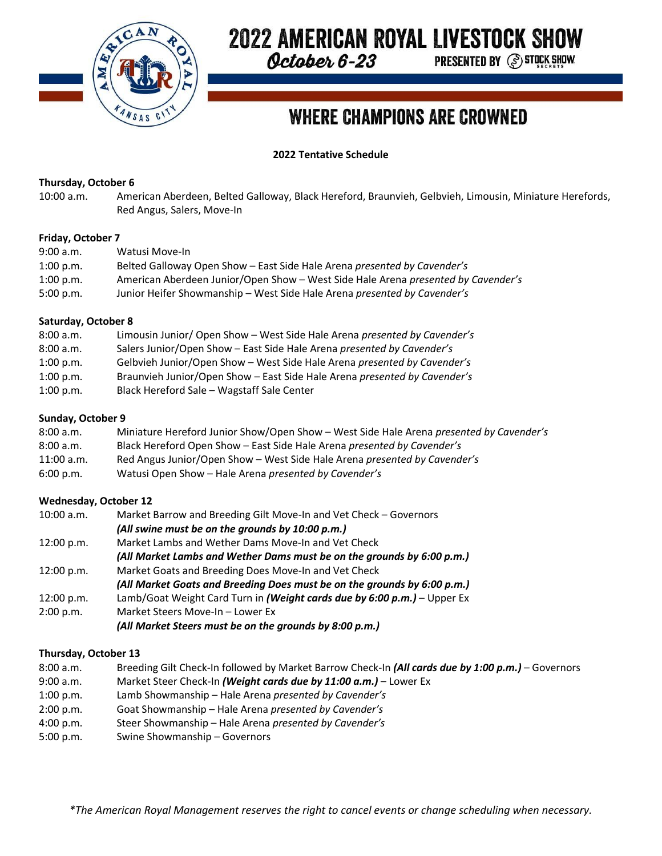

# **2022 AMERICAN ROYAL LIVESTOCK SHOW**

October 6-23

**PRESENTED BY @ STOCK SHOW** 

# **WHERE CHAMPIONS ARE CROWNED**

**2022 Tentative Schedule**

# **Thursday, October 6**

10:00 a.m. American Aberdeen, Belted Galloway, Black Hereford, Braunvieh, Gelbvieh, Limousin, Miniature Herefords, Red Angus, Salers, Move-In

#### **Friday, October 7**

| 9:00 a.m.   | Watusi Move-In                                                                    |
|-------------|-----------------------------------------------------------------------------------|
| $1:00$ p.m. | Belted Galloway Open Show – East Side Hale Arena <i>presented by Cavender's</i>   |
| $1:00$ p.m. | American Aberdeen Junior/Open Show - West Side Hale Arena presented by Cavender's |
| 5:00 p.m.   | Junior Heifer Showmanship – West Side Hale Arena presented by Cavender's          |

#### **Saturday, October 8**

| 8:00 a.m. | Limousin Junior/Open Show - West Side Hale Arena presented by Cavender's  |
|-----------|---------------------------------------------------------------------------|
| 8:00 a.m. | Salers Junior/Open Show - East Side Hale Arena presented by Cavender's    |
| 1:00 p.m. | Gelbvieh Junior/Open Show - West Side Hale Arena presented by Cavender's  |
| 1:00 p.m. | Braunvieh Junior/Open Show - East Side Hale Arena presented by Cavender's |
| 1:00 p.m. | Black Hereford Sale - Wagstaff Sale Center                                |

## **Sunday, October 9**

| 8:00 a.m.    | Miniature Hereford Junior Show/Open Show - West Side Hale Arena presented by Cavender's |
|--------------|-----------------------------------------------------------------------------------------|
| 8:00 a.m.    | Black Hereford Open Show - East Side Hale Arena presented by Cavender's                 |
| $11:00$ a.m. | Red Angus Junior/Open Show - West Side Hale Arena presented by Cavender's               |
| 6:00 p.m.    | Watusi Open Show - Hale Arena presented by Cavender's                                   |

# **Wednesday, October 12**

| $10:00$ a.m. | Market Barrow and Breeding Gilt Move-In and Vet Check - Governors        |
|--------------|--------------------------------------------------------------------------|
|              | (All swine must be on the grounds by 10:00 p.m.)                         |
| 12:00 p.m.   | Market Lambs and Wether Dams Move-In and Vet Check                       |
|              | (All Market Lambs and Wether Dams must be on the grounds by 6:00 p.m.)   |
| 12:00 p.m.   | Market Goats and Breeding Does Move-In and Vet Check                     |
|              | (All Market Goats and Breeding Does must be on the grounds by 6:00 p.m.) |
| 12:00 p.m.   | Lamb/Goat Weight Card Turn in (Weight cards due by 6:00 p.m.) - Upper Ex |
| 2:00 p.m.    | Market Steers Move-In - Lower Ex                                         |
|              | (All Market Steers must be on the grounds by 8:00 p.m.)                  |

# **Thursday, October 13**

| 8:00 a.m. | Breeding Gilt Check-In followed by Market Barrow Check-In (All cards due by 1:00 p.m.) - Governors |
|-----------|----------------------------------------------------------------------------------------------------|
| 9:00 a.m. | Market Steer Check-In (Weight cards due by 11:00 a.m.) - Lower Ex                                  |
| 1:00 p.m. | Lamb Showmanship – Hale Arena presented by Cavender's                                              |
| 2:00 p.m. | Goat Showmanship - Hale Arena presented by Cavender's                                              |
| 4:00 p.m. | Steer Showmanship - Hale Arena presented by Cavender's                                             |
| 5:00 p.m. | Swine Showmanship - Governors                                                                      |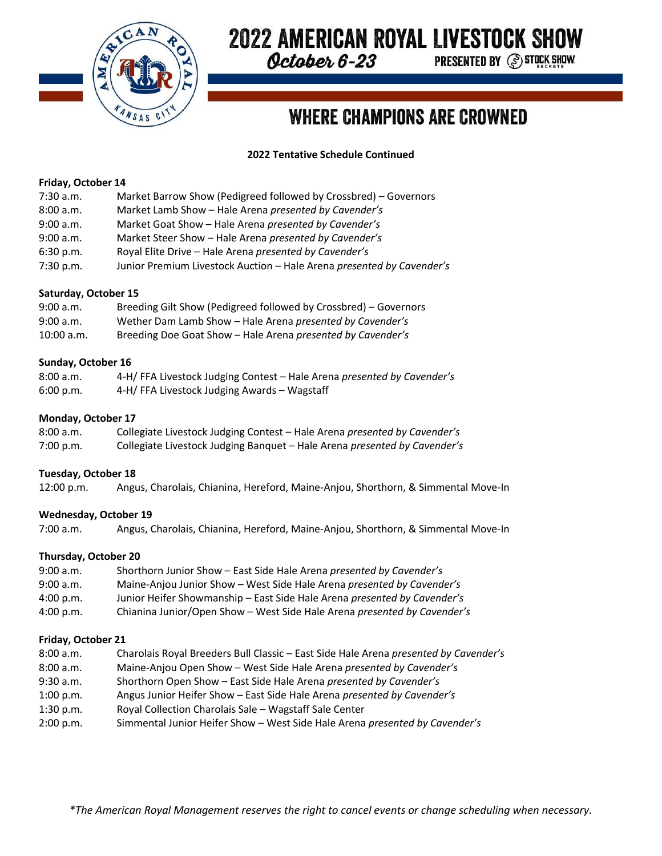

# **2022 AMERICAN ROYAL LIVESTOCK SHOW**

October 6-23

**PRESENTED BY (S) STOCK SHOW** 

# **WHERE CHAMPIONS ARE CROWNED**

# **2022 Tentative Schedule Continued**

#### **Friday, October 14**

| $7:30$ a.m. | Market Barrow Show (Pedigreed followed by Crossbred) – Governors |
|-------------|------------------------------------------------------------------|
|-------------|------------------------------------------------------------------|

| 8:00 a.m. | Market Lamb Show - Hale Arena presented by Cavender's                 |
|-----------|-----------------------------------------------------------------------|
| 9:00 a.m. | Market Goat Show - Hale Arena presented by Cavender's                 |
| 9:00 a.m. | Market Steer Show - Hale Arena presented by Cavender's                |
| 6:30 p.m. | Royal Elite Drive - Hale Arena presented by Cavender's                |
| 7:30 p.m. | Junior Premium Livestock Auction - Hale Arena presented by Cavender's |

## **Saturday, October 15**

| 9:00 a.m.    | Breeding Gilt Show (Pedigreed followed by Crossbred) - Governors |
|--------------|------------------------------------------------------------------|
| 9:00 a.m.    | Wether Dam Lamb Show - Hale Arena presented by Cavender's        |
| $10:00$ a.m. | Breeding Doe Goat Show - Hale Arena presented by Cavender's      |

#### **Sunday, October 16**

| 8:00 a.m. | 4-H/FFA Livestock Judging Contest - Hale Arena presented by Cavender's |
|-----------|------------------------------------------------------------------------|
| 6:00 p.m. | 4-H/FFA Livestock Judging Awards - Wagstaff                            |

## **Monday, October 17**

| 8:00 a.m. | Collegiate Livestock Judging Contest - Hale Arena presented by Cavender's |
|-----------|---------------------------------------------------------------------------|
| 7:00 p.m. | Collegiate Livestock Judging Banquet - Hale Arena presented by Cavender's |

#### **Tuesday, October 18**

12:00 p.m. Angus, Charolais, Chianina, Hereford, Maine-Anjou, Shorthorn, & Simmental Move-In

# **Wednesday, October 19**

7:00 a.m. Angus, Charolais, Chianina, Hereford, Maine-Anjou, Shorthorn, & Simmental Move-In

#### **Thursday, October 20**

| 9:00 a.m. | Shorthorn Junior Show - East Side Hale Arena presented by Cavender's     |
|-----------|--------------------------------------------------------------------------|
| 9:00 a.m. | Maine-Anjou Junior Show - West Side Hale Arena presented by Cavender's   |
| 4:00 p.m. | Junior Heifer Showmanship - East Side Hale Arena presented by Cavender's |
| 4:00 p.m. | Chianina Junior/Open Show - West Side Hale Arena presented by Cavender's |

#### **Friday, October 21**

- 8:00 a.m. Charolais Royal Breeders Bull Classic East Side Hale Arena *presented by Cavender's*
- 8:00 a.m. Maine-Anjou Open Show West Side Hale Arena *presented by Cavender's*
- 9:30 a.m. Shorthorn Open Show East Side Hale Arena *presented by Cavender's*
- 1:00 p.m. Angus Junior Heifer Show East Side Hale Arena *presented by Cavender's*
- 1:30 p.m. Royal Collection Charolais Sale Wagstaff Sale Center
- 2:00 p.m. Simmental Junior Heifer Show West Side Hale Arena *presented by Cavender's*